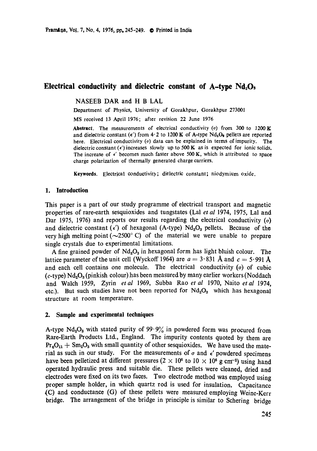# **Electrical conductivity and dielectric constant of A-type Nd<sub>2</sub>O<sub>3</sub>**

NASEEB DAR and H B LAL

Department of Physics, University of Gorakhpur, Gorakhpur 273001

MS received 13 April 1976; after revision 22 June 1976

**Abstract.** The measurements of electrical conductivity ( $\sigma$ ) from 300 to 1200 K and dielectric constant ( $\epsilon'$ ) from 4.2 to 1200 K of A-type Nd<sub>2</sub>O<sub>2</sub> pellets are reported here. Electrical conductivity  $(\sigma)$  data can be explained in terms of impurity. The dielectric constant  $(\epsilon')$  increases slowly up to 500 K as is expected for ionic solids. The increase of  $\epsilon'$  becomes much faster above 500 K, which is attributed to space charge polarization of thermally generated charge carriers.

**Keywords.** Electrical conductivity; dielectric constant; niodymium oxide.

### **1. Introduction**

This paper is a part of our study programme of electrical transport and magnetic properties of rare-earth sesquioxides and tungstates (Lal *et al* 1974, 1975, Lal and Dar 1975, 1976) and reports our results regarding the electrical conductivity  $(\sigma)$ and dielectric constant ( $\epsilon'$ ) of hexagonal (A-type) Nd<sub>2</sub>O<sub>3</sub> pellets. Because of the very high melting point ( $\sim$ 2500 $^{\circ}$  C) of the material we were unable to prepare single crystals due to experimental limitations.

A fine grained powder of  $Nd_2O_3$  in hexagonal form has light bluish colour. The lattice parameter of the unit cell (Wyckoff 1964) are  $a = 3.831$  Å and  $c = 5.991$  Å and each cell contains one molecule. The electrical conductivity  $(\sigma)$  of cubic  $(c$ -type) Nd<sub>2</sub>O<sub>3</sub> (pinkish colour) has been measured by many earlier workers (Noddach and Walch 1959, Zyrin *etal* 1969, Subba Rao *et al* 1970, Naito *etal* 1974, etc.). But such studies have not been reported for  $Nd_2O_3$  which has hexagonal structure at room temperature.

# **2. Sample and experimental techniques**

A-type  $Nd_2O_3$  with stated purity of 99.9% in powdered form was procured from Rare-Earth Products Ltd., England. The impurity contents quoted by them are  $Pr_{a}O_{11}$  + Sm<sub>2</sub>O<sub>3</sub> with small quantity of other sesquioxides. We have used the material as such in our study. For the measurements of  $\sigma$  and  $\epsilon'$  powdered specimens have been pelletized at different pressures  $(2 \times 10^6 \text{ to } 10 \times 10^6 \text{ g cm}^{-2})$  using hand operated hydraulic press and suitable die. These pellets were cleaned, dried and electrodes were fixed on its two faces. Two electrode method was employed using proper sample holder, in which quartz rod is used for insulation. Capacitance (C) and conductance (G) of these pellets were measured employing Weine-Kerr bridge. The arrangement of the bridge in principle is similar to Schering bridge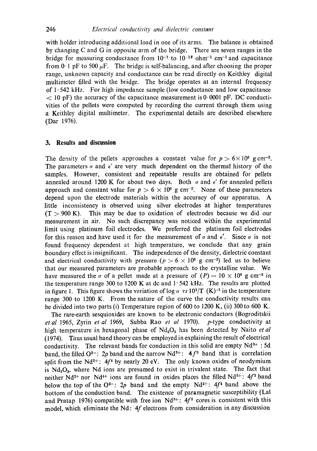with holder introducing additional load in one of its arms. The balance is obtained by changing C and G in opposite arm of the bridge. There are seven ranges in the bridge for measuring conductance from  $10^{-1}$  to  $10^{-12}$  ohm<sup>-1</sup> cm<sup>-1</sup> and capacitance from 0 1 pF to 500  $\mu$ F. The bridge is self-balancing, and after choosing the proper range, unknown capacity and conductance can' be read directly on Keithley digital multimeter filled with the bridge. The bridge operates at an internal frequency of  $1.542 \text{ kHz}$ . For high impedance sample (low conductance and low capacitance  $<$  10 pF) the accuracy of the capacitance measurement is 0.0001 pF. DC conductivities of the pellets were computed by recording the current through them using a Keithley digital multimeter. The experimental details are described elsewhere (Dar 1976).

## **3. Results and discussion**

The density of the pellets approaches a constant value for  $p > 6 \times 10^6$  g cm<sup>-2</sup>. The parameters  $\sigma$  and  $\epsilon'$  are very much dependent on the thermal history of the samples. However, consistent and repeatable results are obtained for pellets annealed around 1200 K for about two days. Both  $\sigma$  and  $\epsilon'$  for annealed pellets approach and constant value for  $p > 6 \times 10^6$  g cm<sup>-2</sup>. None of these parameters depend upon the electrode materials within the accuracy of our apparatus. A little inconsistency is observed using silver electrodes at higher temperatures  $(T > 900 \text{ K})$ . This may be due to oxidation of electrodes because we did our measurement in air. No such discrepancy .was noticed within the experimental limit using platinum foil electrodes. We preferred the platinum foil electrodes for this reason and have used it for the measurement of  $\sigma$  and  $\epsilon'$ . Since  $\sigma$  is not found frequency dependent at high temperature, we conclude that any grain boundary effect is insignificant. The independence of the density, dielectric constant and electrical conductivity with pressure ( $p > 6 \times 10^6$  g cm<sup>-2</sup>) led us to believe that our measured parameters are probable approach to the crystalline value. We have measured the  $\sigma$  of a pellet made at a pressure of  $(P) = 10 \times 10^8$  g cm<sup>-2</sup> in the temperature range 300 to 1200 K at dc and  $1.542$  kHz. The results are plotted in figure 1. This figure shows the variation of  $\log \sigma$  *vs*  $10^3/\text{T}$  (K)<sup>-1</sup> in the temperature range 300 to 1200 K. From the nature of the curve the conductivity results can be divided into two parts (i) Temperature region of 600 to 1200 K, (ii) 300 to 600 K.

The rare-earth sesquioxides are known to be electronic conductors (Bogroditskii *et al* 1965, Zyrin *et al* 1969, Subba Rao *et al* 1970). p-type conductivity at high temperature in hexagonal phase of  $Nd_{2}O_{3}$  has been detected by Naito *et al* (1974). Thus usual band theory can be employed in explaining the result of electrical conductivity. The relevant bands for conduction in this solid are empty  $Nd^{3+}$ : 5d band, the filled  $O^{2-}$ : 2p band and the narrow Nd<sup>3+</sup>: 4f<sup>3</sup> band that is correlation split from the Nd<sup>2+</sup>:  $4f<sup>4</sup>$  by nearly 20 eV. The only known oxides of neodymium is  $Nd<sub>2</sub>O<sub>3</sub>$ , where Nd ions are presumed to exist in trivalent state. The fact that neither Nd<sup>2+</sup> nor Nd<sup>1+</sup> ions are found in oxides places the filled Nd<sup>3+</sup>: 4f<sup>3</sup> band below the top of the  $O^{2-}$ : 2p band and the empty  $Nd^{2+}$ : 4f<sup>4</sup> band above the bottom of the conduction band. The existence of paramagnetic susceptibility (Lal and Pratap 1976) compatible with free ion  $Nd^{3+}$ : 4f<sup>3</sup> cores is consistent with this model, which eliminate the Nd: 4f electrons from consideration in any discussion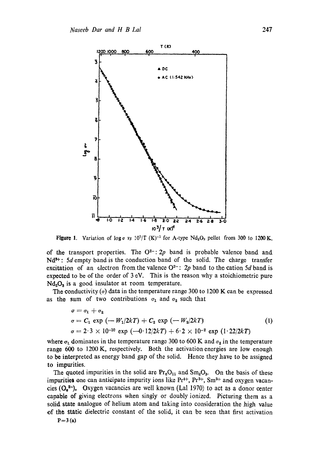

**Figure 1.** Variation of log  $\sigma$  *vs*  $10^{3}/T$  (K)<sup>-1</sup> for A-type Nd<sub>2</sub>O<sub>3</sub> pellet from 300 to 1200 K.

of the transport properties. The  $O^{2-}$ : 2p band is probable valence band and  $Nd^{3+}$ : 5d empty band is the conduction band of the solid. The charge transfer excitation of an electron from the valence  $O^{2-}$ : 2p band to the cation 5d band is expected to be of the order of  $3 \text{ eV}$ . This is the reason why a stoichiometric pure  $Nd<sub>2</sub>O<sub>3</sub>$  is a good insulator at room temperature.

The conductivity ( $\sigma$ ) data in the temperature range 300 to 1200 K can be expressed as the sum of two contributions  $\sigma_1$  and  $\sigma_2$  such that

$$
\sigma = \sigma_1 + \sigma_2
$$
  
\n
$$
\sigma = C_1 \exp(-W_1/2k) + C_2 \exp(-W_2/2k)
$$
  
\n
$$
\sigma = 2.3 \times 10^{-10} \exp(-0.12/2k) + 6.2 \times 10^{-2} \exp(1.22/2k)
$$
 (1)

where  $\sigma_1$  dominates in the temperature range 300 to 600 K and  $\sigma_2$  in the temperature range 600 to 1200 K, respectively. Both the activation energies are low enough to be interpreted as energy band gap of the solid. Hence they have to be assigned to impurities.

The quoted impurities in the solid are  $Pr_6O_{11}$  and  $Sm_2O_3$ . On the basis of these impurities one can anticipate impurity ions like  $Pr^{4+}$ ,  $Pr^{3+}$ ,  $Sm^{3+}$  and oxygen vacancies  $(Q_e^{2-})$ . Oxygen vacancies are well known (Lal 1970) to act as a donor center capable of giving electrons when singly or doubly ionized. Picturing them as a solid state analogue of helium atom and taking into consideration the high value of the static dielectric constant of the solid, it can be seen that first activation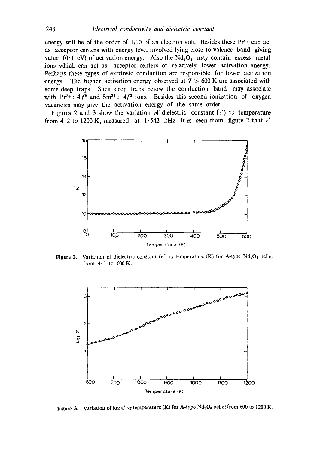energy will be of the order of  $1/10$  of an electron volt. Besides these Pr<sup>4+</sup> can act as acceptor centers with energy level involved lying close to valence band giving value (0.1 eV) of activation energy. Also the  $Nd<sub>2</sub>O<sub>3</sub>$  may contain excess metal ions which can act as acceptor centers of relatively lower activation energy. Perhaps these types of extrinsic conduction are responsible for lower activation energy. The higher activation energy observed at  $T > 600$  K are associated with some deep traps. Such deep traps below the conduction band may associate with  $Pr^{3+}$ : 4 $f^2$  and  $Sm^{3+}$ : 4 $f^3$  ions. Besides this second ionization of oxygen vacancies may give the activation energy of the same order.

Figures 2 and 3 show the variation of dielectric constant  $(\epsilon')$  *vs* temperature from 4.2 to 1200 K, measured at 1.542 kHz. It is seen from figure 2 that  $\epsilon'$ 



**Figure 2.** Variation of dielectric constant  $(\epsilon')$  *vs* temperature (K) for A-type Nd<sub>2</sub>O<sub>3</sub> pellet from  $4.2$  to  $600$  K.



Figure 3. Variation of log  $\epsilon'$  vs temperature (K) for A-type Nd<sub>2</sub>O<sub>s</sub> pellet from 600 to 1200 K.